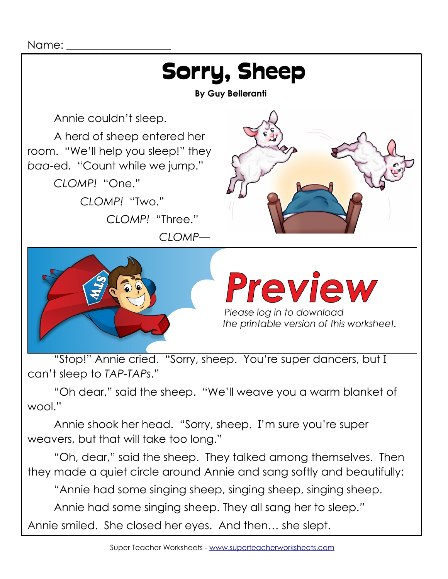

"Oh dear," said the sheep. "We'll weave you a warm blanket of wool."

Annie shook her head. "Sorry, sheep. I'm sure you're super weavers, but that will take too long."

"Oh, dear," said the sheep. They talked among themselves. Then they made a quiet circle around Annie and sang softly and beautifully:

*"*Annie had some singing sheep, singing sheep, singing sheep.

Annie had some singing sheep. They all sang her to sleep.*"*

Annie smiled. She closed her eyes. And then… she slept.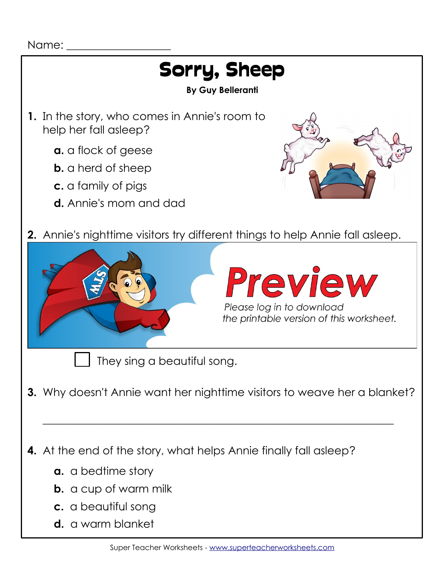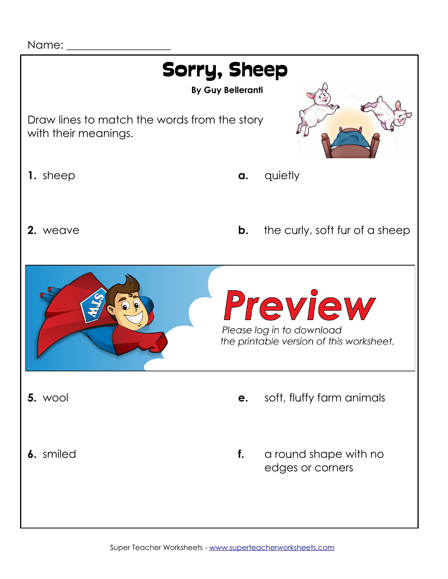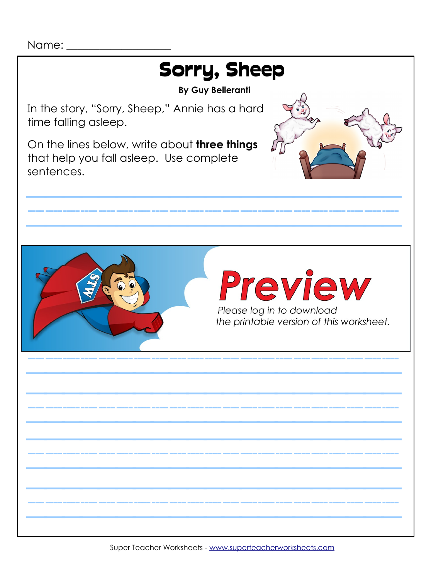

Super Teacher Worksheets - [www.superteacherworksheets.com](http://www.superteacherworksheets.com/)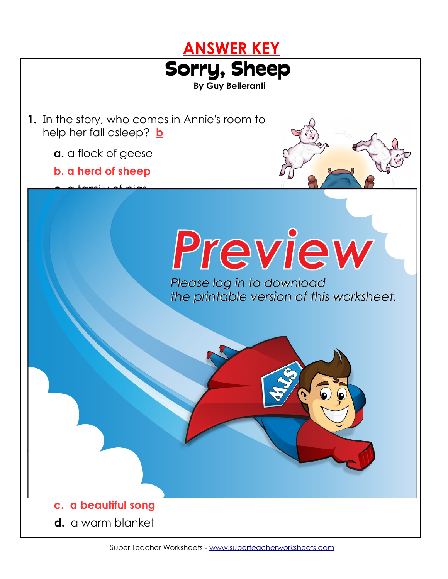